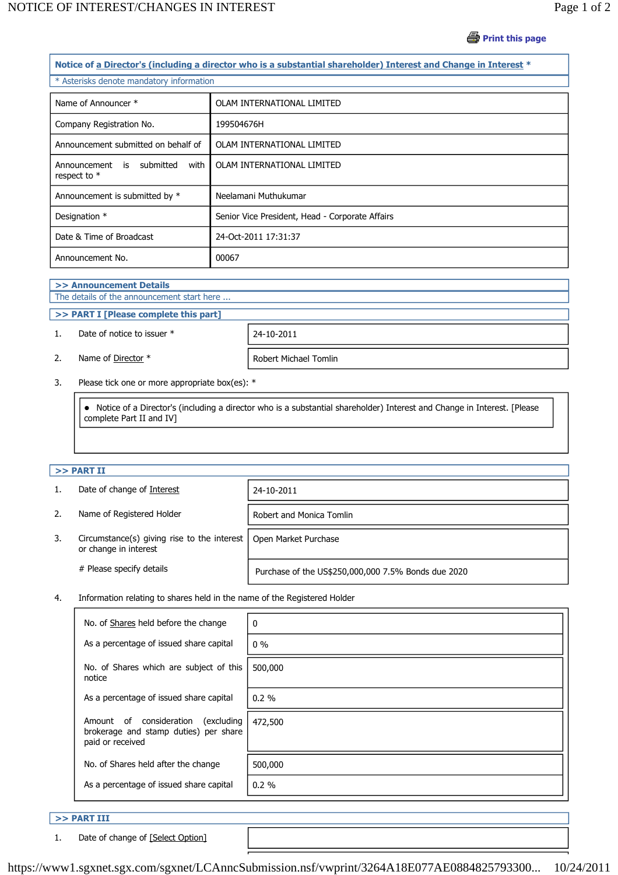# **Print this page**

| Notice of a Director's (including a director who is a substantial shareholder) Interest and Change in Interest * |                                                 |  |  |  |
|------------------------------------------------------------------------------------------------------------------|-------------------------------------------------|--|--|--|
| * Asterisks denote mandatory information                                                                         |                                                 |  |  |  |
| Name of Announcer *                                                                                              | OLAM INTERNATIONAL LIMITED                      |  |  |  |
| Company Registration No.                                                                                         | 199504676H                                      |  |  |  |
| Announcement submitted on behalf of                                                                              | OLAM INTERNATIONAL LIMITED                      |  |  |  |
| Announcement<br>is submitted<br>with<br>respect to *                                                             | OLAM INTERNATIONAL LIMITED                      |  |  |  |
| Announcement is submitted by *                                                                                   | Neelamani Muthukumar                            |  |  |  |
| Designation *                                                                                                    | Senior Vice President, Head - Corporate Affairs |  |  |  |
| Date & Time of Broadcast                                                                                         | 24-Oct-2011 17:31:37                            |  |  |  |
| Announcement No.                                                                                                 | 00067                                           |  |  |  |

## **>> Announcement Details**

# The details of the announcement start here ...

### **>> PART I [Please complete this part]**

#### 1. Date of notice to issuer \* 24-10-2011

2. Name of <u>Director</u> \* Robert Michael Tomlin

3. Please tick one or more appropriate box(es): \*

 Notice of a Director's (including a director who is a substantial shareholder) Interest and Change in Interest. [Please complete Part II and IV]

#### **>> PART II**

|    | Date of change of Interest                                                   | 24-10-2011                                          |
|----|------------------------------------------------------------------------------|-----------------------------------------------------|
| 2. | Name of Registered Holder                                                    | Robert and Monica Tomlin                            |
| 3. | Circumstance(s) giving rise to the interest $\vert$<br>or change in interest | Open Market Purchase                                |
|    | # Please specify details                                                     | Purchase of the US\$250,000,000 7.5% Bonds due 2020 |

4. Information relating to shares held in the name of the Registered Holder

| No. of Shares held before the change                                                                  | 0        |
|-------------------------------------------------------------------------------------------------------|----------|
| As a percentage of issued share capital                                                               | $0\%$    |
| No. of Shares which are subject of this<br>notice                                                     | 500,000  |
| As a percentage of issued share capital                                                               | $0.2 \%$ |
| consideration<br>excluding)<br>Amount of<br>brokerage and stamp duties) per share<br>paid or received | 472,500  |
| No. of Shares held after the change                                                                   | 500,000  |
| As a percentage of issued share capital                                                               | 0.2%     |

#### **>> PART III**

1. Date of change of [Select Option]